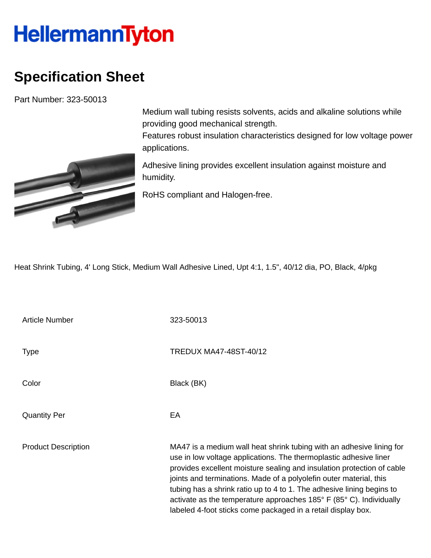## **HellermannTyton**

## **Specification Sheet**

Part Number: 323-50013



Medium wall tubing resists solvents, acids and alkaline solutions while providing good mechanical strength.

Features robust insulation characteristics designed for low voltage power applications.

Adhesive lining provides excellent insulation against moisture and humidity.

RoHS compliant and Halogen-free.

Heat Shrink Tubing, 4' Long Stick, Medium Wall Adhesive Lined, Upt 4:1, 1.5", 40/12 dia, PO, Black, 4/pkg

Article Number 323-50013 Type Type TREDUX MA47-48ST-40/12 Color Black (BK) Quantity Per **EA** Product Description MA47 is a medium wall heat shrink tubing with an adhesive lining for use in low voltage applications. The thermoplastic adhesive liner provides excellent moisture sealing and insulation protection of cable joints and terminations. Made of a polyolefin outer material, this tubing has a shrink ratio up to 4 to 1. The adhesive lining begins to activate as the temperature approaches 185° F (85° C). Individually labeled 4-foot sticks come packaged in a retail display box.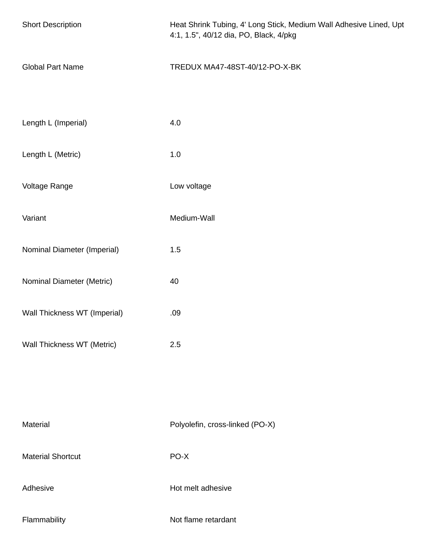| <b>Short Description</b>     | Heat Shrink Tubing, 4' Long Stick, Medium Wall Adhesive Lined, Upt<br>4:1, 1.5", 40/12 dia, PO, Black, 4/pkg |
|------------------------------|--------------------------------------------------------------------------------------------------------------|
| <b>Global Part Name</b>      | TREDUX MA47-48ST-40/12-PO-X-BK                                                                               |
| Length L (Imperial)          | 4.0                                                                                                          |
| Length L (Metric)            | $1.0$                                                                                                        |
| Voltage Range                | Low voltage                                                                                                  |
| Variant                      | Medium-Wall                                                                                                  |
| Nominal Diameter (Imperial)  | 1.5                                                                                                          |
| Nominal Diameter (Metric)    | 40                                                                                                           |
| Wall Thickness WT (Imperial) | .09                                                                                                          |
| Wall Thickness WT (Metric)   | 2.5                                                                                                          |
|                              |                                                                                                              |
| Material                     | Polyolefin, cross-linked (PO-X)                                                                              |
| <b>Material Shortcut</b>     | PO-X                                                                                                         |
| Adhesive                     | Hot melt adhesive                                                                                            |
| Flammability                 | Not flame retardant                                                                                          |